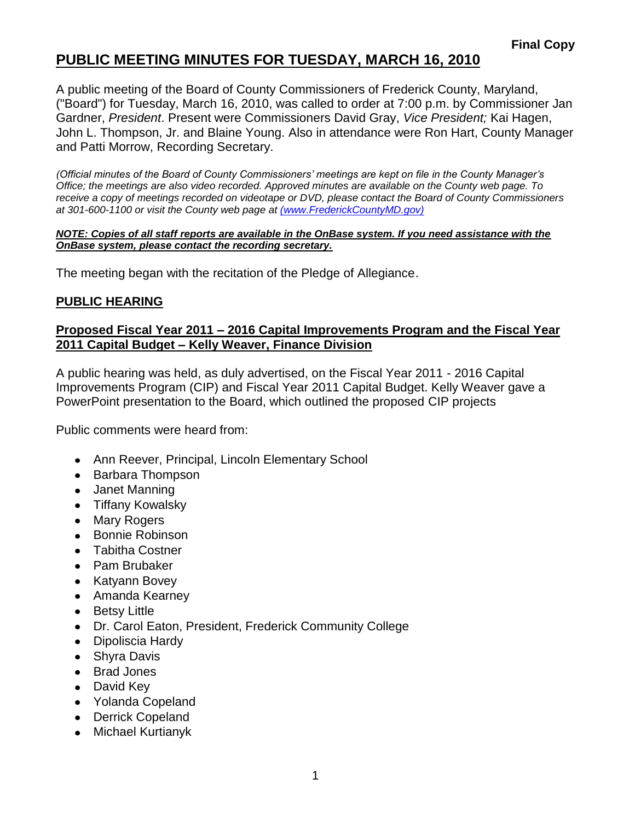## **PUBLIC MEETING MINUTES FOR TUESDAY, MARCH 16, 2010**

A public meeting of the Board of County Commissioners of Frederick County, Maryland, ("Board") for Tuesday, March 16, 2010, was called to order at 7:00 p.m. by Commissioner Jan Gardner, *President*. Present were Commissioners David Gray, *Vice President;* Kai Hagen, John L. Thompson, Jr. and Blaine Young. Also in attendance were Ron Hart, County Manager and Patti Morrow, Recording Secretary.

*(Official minutes of the Board of County Commissioners' meetings are kept on file in the County Manager's Office; the meetings are also video recorded. Approved minutes are available on the County web page. To receive a copy of meetings recorded on videotape or DVD, please contact the Board of County Commissioners at 301-600-1100 or visit the County web page at [\(www.FrederickCountyMD.gov\)](file:\\NT1S5\BOCC\BOCC\BOCC%20Minutes\Patti)*

#### *NOTE: Copies of all staff reports are available in the OnBase system. If you need assistance with the OnBase system, please contact the recording secretary.*

The meeting began with the recitation of the Pledge of Allegiance.

### **PUBLIC HEARING**

#### **Proposed Fiscal Year 2011 – 2016 Capital Improvements Program and the Fiscal Year 2011 Capital Budget – Kelly Weaver, Finance Division**

A public hearing was held, as duly advertised, on the Fiscal Year 2011 - 2016 Capital Improvements Program (CIP) and Fiscal Year 2011 Capital Budget. Kelly Weaver gave a PowerPoint presentation to the Board, which outlined the proposed CIP projects

Public comments were heard from:

- Ann Reever, Principal, Lincoln Elementary School
- Barbara Thompson
- Janet Manning
- Tiffany Kowalsky
- Mary Rogers
- Bonnie Robinson
- Tabitha Costner
- Pam Brubaker
- Katyann Bovey
- Amanda Kearney
- Betsy Little
- Dr. Carol Eaton, President, Frederick Community College
- Dipoliscia Hardy
- Shyra Davis  $\bullet$
- Brad Jones
- David Key
- Yolanda Copeland
- Derrick Copeland
- Michael Kurtianyk